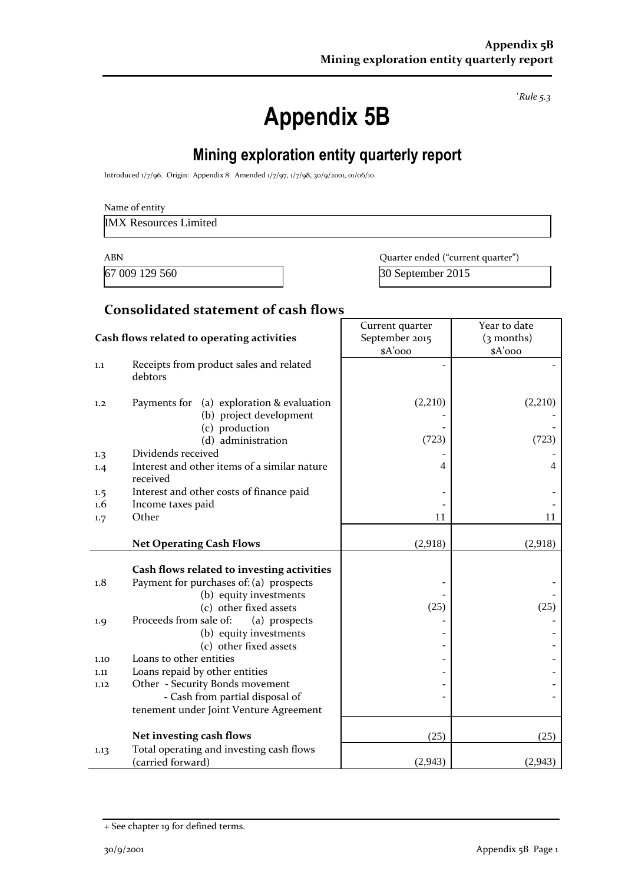*`Rule 5.3*

# **Appendix 5B**

# **Mining exploration entity quarterly report**

Introduced 1/7/96. Origin: Appendix 8. Amended 1/7/97, 1/7/98, 30/9/2001, 01/06/10.

IMX Resources Limited

67 009 129 560 30 September 2015

ABN **ABN** Quarter ended ("current quarter")

#### **Consolidated statement of cash flows**

|      |                                                                         | Current quarter | Year to date |
|------|-------------------------------------------------------------------------|-----------------|--------------|
|      | Cash flows related to operating activities                              | September 2015  | $(3$ months) |
|      |                                                                         | \$A'ooo         | \$A'ooo      |
| 1.1  | Receipts from product sales and related<br>debtors                      |                 |              |
| 1,2  | Payments for<br>(a) exploration & evaluation<br>(b) project development | (2,210)         | (2,210)      |
|      | (c) production                                                          |                 |              |
|      | (d) administration                                                      | (723)           | (723)        |
| 1.3  | Dividends received                                                      |                 |              |
| 1.4  | Interest and other items of a similar nature<br>received                | 4               | 4            |
| 1.5  | Interest and other costs of finance paid                                |                 |              |
| 1.6  | Income taxes paid                                                       |                 |              |
| 1.7  | Other                                                                   | 11              | 11           |
|      | <b>Net Operating Cash Flows</b>                                         | (2,918)         | (2,918)      |
|      |                                                                         |                 |              |
|      | Cash flows related to investing activities                              |                 |              |
| 1.8  | Payment for purchases of: (a) prospects                                 |                 |              |
|      | (b) equity investments                                                  |                 |              |
|      | (c) other fixed assets                                                  | (25)            | (25)         |
| 1.9  | Proceeds from sale of:<br>(a) prospects                                 |                 |              |
|      | (b) equity investments                                                  |                 |              |
|      | (c) other fixed assets                                                  |                 |              |
| 1.10 | Loans to other entities                                                 |                 |              |
| 1.11 | Loans repaid by other entities                                          |                 |              |
| 1.12 | Other - Security Bonds movement                                         |                 |              |
|      | - Cash from partial disposal of                                         |                 |              |
|      | tenement under Joint Venture Agreement                                  |                 |              |
|      | Net investing cash flows                                                | (25)            | (25)         |
| 1.13 | Total operating and investing cash flows                                |                 |              |
|      | (carried forward)                                                       | (2,943)         | (2,943)      |

<sup>+</sup> See chapter 19 for defined terms.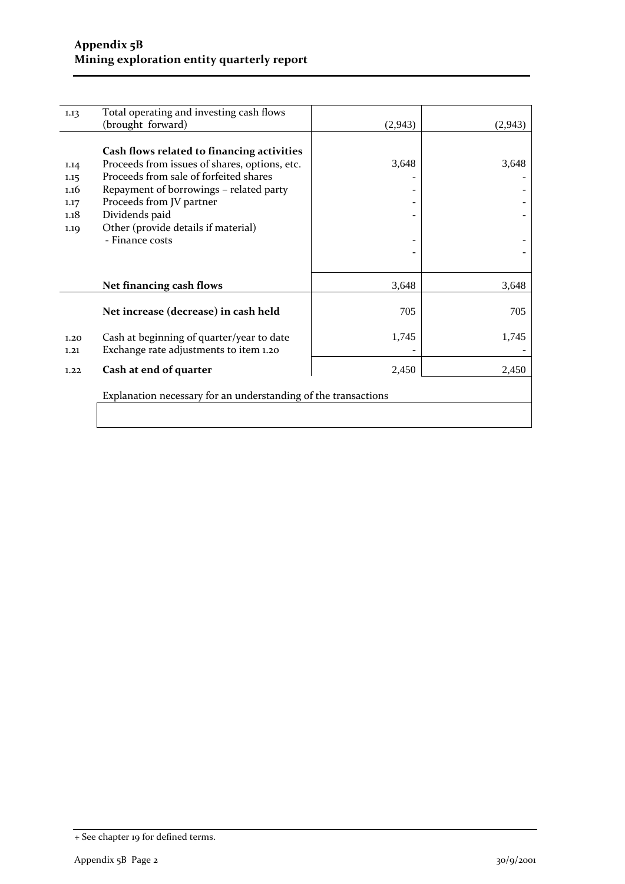| 1.13                                         | Total operating and investing cash flows                                                                                                                                                                                                                                                 |         |          |
|----------------------------------------------|------------------------------------------------------------------------------------------------------------------------------------------------------------------------------------------------------------------------------------------------------------------------------------------|---------|----------|
|                                              | (brought forward)                                                                                                                                                                                                                                                                        | (2,943) | (2, 943) |
| 1.14<br>1.15<br>1.16<br>1.17<br>1.18<br>1.19 | Cash flows related to financing activities<br>Proceeds from issues of shares, options, etc.<br>Proceeds from sale of forfeited shares<br>Repayment of borrowings - related party<br>Proceeds from JV partner<br>Dividends paid<br>Other (provide details if material)<br>- Finance costs | 3,648   | 3,648    |
|                                              | Net financing cash flows                                                                                                                                                                                                                                                                 | 3,648   | 3,648    |
|                                              | Net increase (decrease) in cash held                                                                                                                                                                                                                                                     | 705     | 705      |
| 1.20<br>1.21                                 | Cash at beginning of quarter/year to date<br>Exchange rate adjustments to item 1.20                                                                                                                                                                                                      | 1,745   | 1,745    |
| 1.22                                         | Cash at end of quarter                                                                                                                                                                                                                                                                   | 2,450   | 2,450    |
|                                              | Explanation necessary for an understanding of the transactions                                                                                                                                                                                                                           |         |          |

<sup>+</sup> See chapter 19 for defined terms.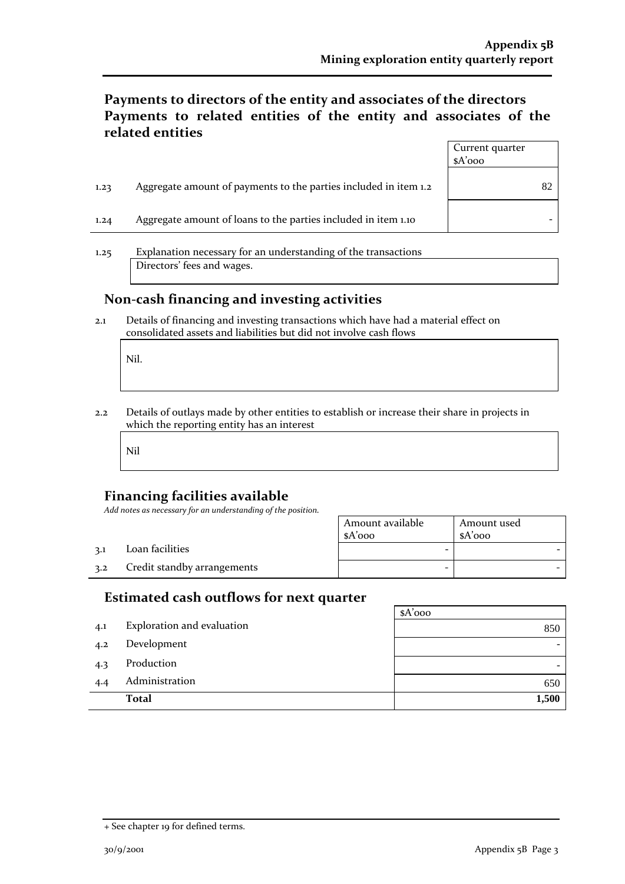## **Payments to directors of the entity and associates of the directors Payments to related entities of the entity and associates of the related entities**

|      |                                                                  | Current quarter<br>$A'$ 000 |  |
|------|------------------------------------------------------------------|-----------------------------|--|
| 1.23 | Aggregate amount of payments to the parties included in item 1.2 |                             |  |
| 1.24 | Aggregate amount of loans to the parties included in item 1.10   |                             |  |

1.25 Explanation necessary for an understanding of the transactions Directors' fees and wages.

#### **Non-cash financing and investing activities**

2.1 Details of financing and investing transactions which have had a material effect on consolidated assets and liabilities but did not involve cash flows

Nil.

2.2 Details of outlays made by other entities to establish or increase their share in projects in which the reporting entity has an interest

Nil

## **Financing facilities available**

*Add notes as necessary for an understanding of the position.*

|     |                             | Amount available<br>$A'$ 000 | Amount used<br>\$A'ooo |
|-----|-----------------------------|------------------------------|------------------------|
| 2.1 | Loan facilities             |                              |                        |
| 3.2 | Credit standby arrangements | -                            |                        |

## **Estimated cash outflows for next quarter**

|     |                            | $A'$ 000 |
|-----|----------------------------|----------|
| 4.1 | Exploration and evaluation | 850      |
| 4.2 | Development                |          |
| 4.3 | Production                 |          |
| 4.4 | Administration             | 650      |
|     | <b>Total</b>               | 1,500    |

<sup>+</sup> See chapter 19 for defined terms.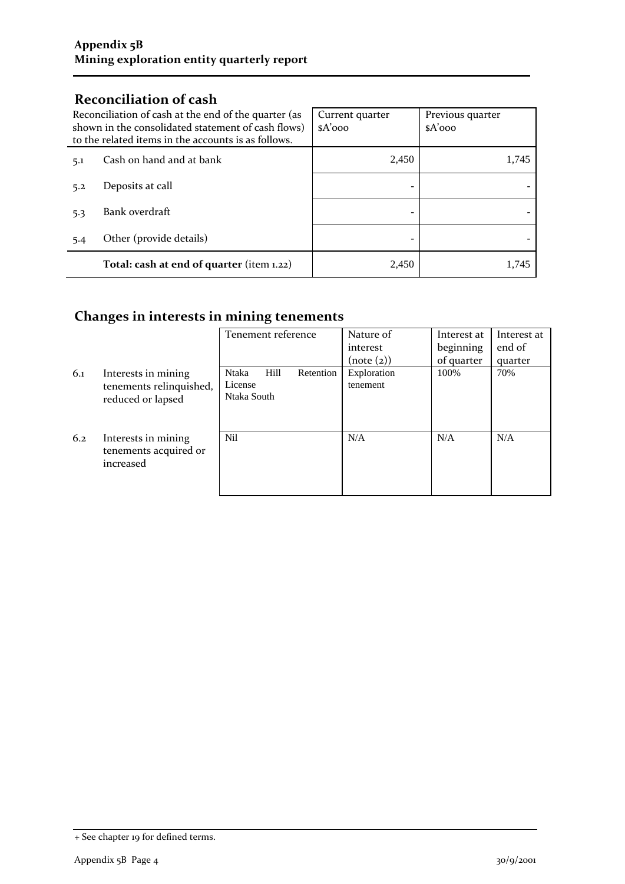## **Reconciliation of cash**

| Reconciliation of cash at the end of the quarter (as<br>shown in the consolidated statement of cash flows)<br>to the related items in the accounts is as follows. |                                           | Current quarter<br>$A'$ 000 | Previous quarter<br>$A'$ 000 |
|-------------------------------------------------------------------------------------------------------------------------------------------------------------------|-------------------------------------------|-----------------------------|------------------------------|
| 5.1                                                                                                                                                               | Cash on hand and at bank                  | 2,450                       | 1,745                        |
| 5.2                                                                                                                                                               | Deposits at call                          |                             |                              |
| 5.3                                                                                                                                                               | Bank overdraft                            |                             |                              |
| 5.4                                                                                                                                                               | Other (provide details)                   |                             |                              |
|                                                                                                                                                                   | Total: cash at end of quarter (item 1.22) | 2.450                       | 1.745                        |

# **Changes in interests in mining tenements**

|     |                                                                     | Tenement reference                                   | Nature of<br>interest<br>(note(2)) | Interest at<br>beginning<br>of quarter | Interest at<br>end of<br>quarter |
|-----|---------------------------------------------------------------------|------------------------------------------------------|------------------------------------|----------------------------------------|----------------------------------|
| 6.1 | Interests in mining<br>tenements relinquished,<br>reduced or lapsed | Hill<br>Ntaka<br>Retention<br>License<br>Ntaka South | Exploration<br>tenement            | 100%                                   | 70%                              |
| 6.2 | Interests in mining<br>tenements acquired or<br>increased           | Nil                                                  | N/A                                | N/A                                    | N/A                              |

<sup>+</sup> See chapter 19 for defined terms.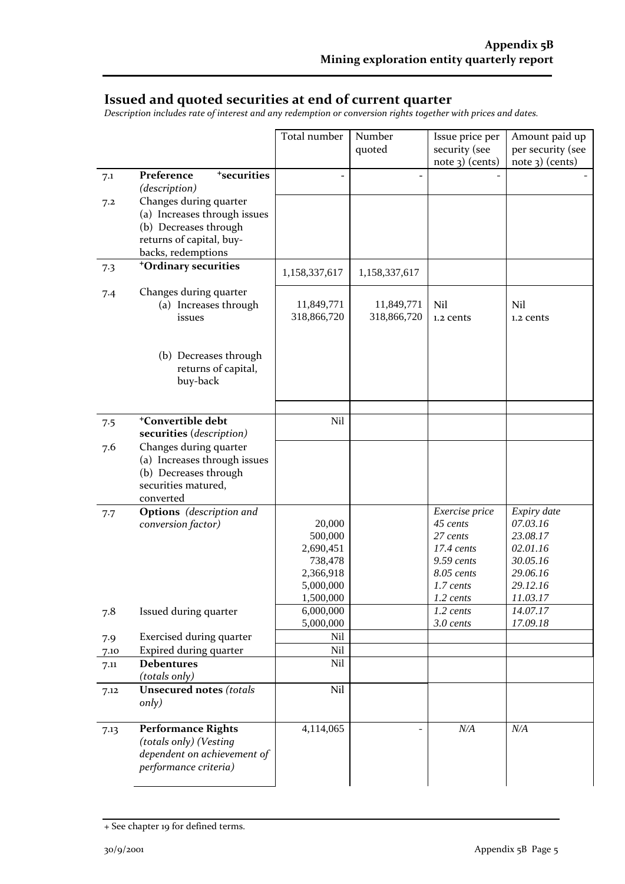## **Issued and quoted securities at end of current quarter**

*Description includes rate of interest and any redemption or conversion rights together with prices and dates.*

|      |                                                 | Total number     | Number        | Issue price per      | Amount paid up    |
|------|-------------------------------------------------|------------------|---------------|----------------------|-------------------|
|      |                                                 |                  | quoted        | security (see        | per security (see |
|      |                                                 |                  |               | $note$ 3) (cents)    | $note$ 3) (cents) |
| 7.1  | <sup>+</sup> securities<br>Preference           |                  | ÷             |                      |                   |
|      | (description)                                   |                  |               |                      |                   |
| 7.2  | Changes during quarter                          |                  |               |                      |                   |
|      | (a) Increases through issues                    |                  |               |                      |                   |
|      | (b) Decreases through                           |                  |               |                      |                   |
|      | returns of capital, buy-                        |                  |               |                      |                   |
|      | backs, redemptions                              |                  |               |                      |                   |
| 7.3  | <sup>+</sup> Ordinary securities                |                  |               |                      |                   |
|      |                                                 | 1,158,337,617    | 1,158,337,617 |                      |                   |
| 7.4  | Changes during quarter                          |                  |               |                      |                   |
|      | (a) Increases through                           | 11,849,771       | 11,849,771    | Nil                  | Nil               |
|      | issues                                          | 318,866,720      | 318,866,720   | 1.2 cents            | 1.2 cents         |
|      |                                                 |                  |               |                      |                   |
|      |                                                 |                  |               |                      |                   |
|      | (b) Decreases through                           |                  |               |                      |                   |
|      | returns of capital,                             |                  |               |                      |                   |
|      | buy-back                                        |                  |               |                      |                   |
|      |                                                 |                  |               |                      |                   |
|      |                                                 |                  |               |                      |                   |
| 7.5  | <sup>+</sup> Convertible debt                   | Nil              |               |                      |                   |
|      | securities (description)                        |                  |               |                      |                   |
| 7.6  | Changes during quarter                          |                  |               |                      |                   |
|      | (a) Increases through issues                    |                  |               |                      |                   |
|      | (b) Decreases through                           |                  |               |                      |                   |
|      | securities matured,                             |                  |               |                      |                   |
|      | converted                                       |                  |               |                      |                   |
| 7.7  | <b>Options</b> (description and                 |                  |               | Exercise price       | Expiry date       |
|      | conversion factor)                              | 20,000           |               | 45 cents             | 07.03.16          |
|      |                                                 | 500,000          |               | 27 cents             | 23.08.17          |
|      |                                                 | 2,690,451        |               | $17.4 \text{ cents}$ | 02.01.16          |
|      |                                                 | 738,478          |               | 9.59 cents           | 30.05.16          |
|      |                                                 | 2,366,918        |               | 8.05 cents           | 29.06.16          |
|      |                                                 | 5,000,000        |               | 1.7 cents            | 29.12.16          |
|      |                                                 | 1,500,000        |               | 1.2 cents            | 11.03.17          |
| 7.8  | Issued during quarter                           | 6,000,000        |               | 1.2 cents            | 14.07.17          |
|      |                                                 | 5,000,000<br>Nil |               | 3.0 cents            | 17.09.18          |
| 7.9  | <b>Exercised during quarter</b>                 | Nil              |               |                      |                   |
| 7.10 | Expired during quarter<br><b>Debentures</b>     | Nil              |               |                      |                   |
| 7.11 |                                                 |                  |               |                      |                   |
|      | (totals only)<br><b>Unsecured notes (totals</b> | Nil              |               |                      |                   |
| 7.12 | only)                                           |                  |               |                      |                   |
|      |                                                 |                  |               |                      |                   |
|      | <b>Performance Rights</b>                       | 4,114,065        |               | N/A                  | N/A               |
| 7.13 | (totals only) (Vesting                          |                  |               |                      |                   |
|      | dependent on achievement of                     |                  |               |                      |                   |
|      | performance criteria)                           |                  |               |                      |                   |
|      |                                                 |                  |               |                      |                   |
|      |                                                 |                  |               |                      |                   |

<sup>+</sup> See chapter 19 for defined terms.